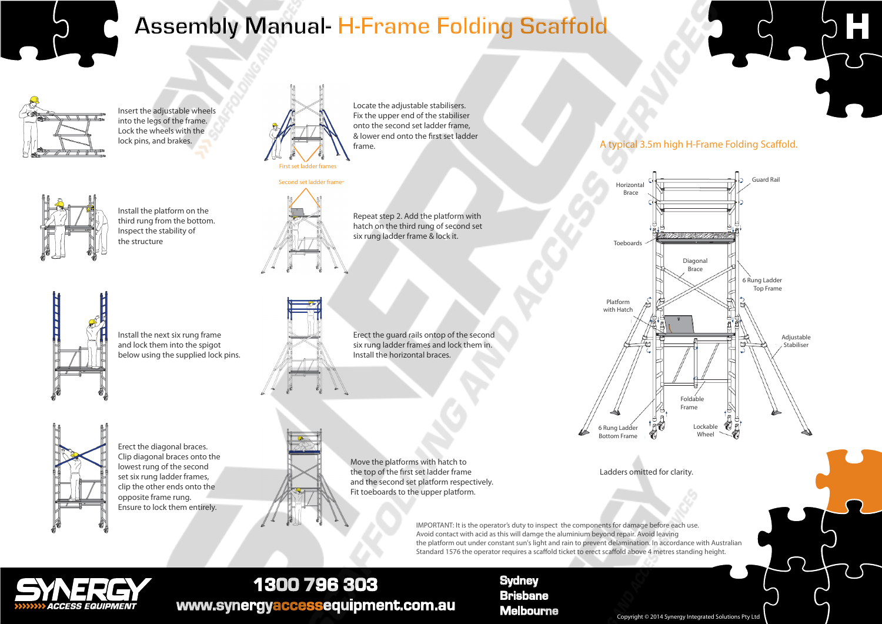

# **Assembly Manual- H-Frame Folding Scaffold**



Insert the adjustable wheels into the legs of the frame. Lock the wheels with the lock pins, and brakes.



Install the platform on the third rung from the bottom. Inspect the stability of the structure

Install the next six rung frame and lock them into the spigot below using the supplied lock pins.



Locate the adjustable stabilisers. Fix the upper end of the stabiliser onto the second set ladder frame, & lower end onto the first set ladder frame.





Repeat step 2. Add the platform with hatch on the third rung of second set six rung ladder frame & lock it.

Erect the guard rails ontop of the second six rung ladder frames and lock them in. Install the horizontal braces.

Erect the diagonal braces. lowest rung of the second set six rung ladder frames, opposite frame rung.



Clip diagonal braces onto the clip the other ends onto the Ensure to lock them entirely.



A typical 3.5m high H-Frame Folding Scaffold.



Ladders omitted for clarity.

IMPORTANT: It is the operator's duty to inspect the components for damage before each use. Avoid contact with acid as this will damge the aluminium beyond repair. Avoid leaving the platform out under constant sun's light and rain to prevent delamination. In accordance with Australian Standard 1576 the operator requires a scaffold ticket to erect scaffold above 4 metres standing height.



## 1300 796 303 www.synergyaccessequipment.com.au

## **Sydney Brisbane**

**Melbourne** Copyright © 2014 Synergy Integrated Solutions Pty Ltd